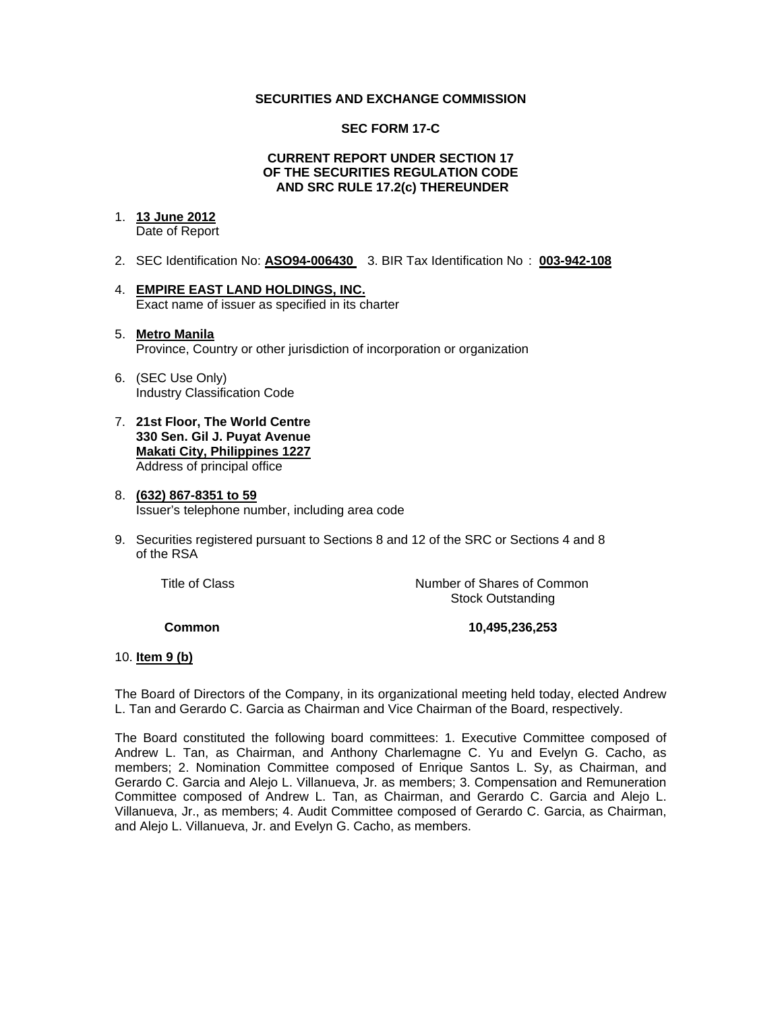### **SECURITIES AND EXCHANGE COMMISSION**

### **SEC FORM 17-C**

#### **CURRENT REPORT UNDER SECTION 17 OF THE SECURITIES REGULATION CODE AND SRC RULE 17.2(c) THEREUNDER**

## 1. **13 June 2012**

Date of Report

- 2. SEC Identification No: **ASO94-006430** 3. BIR Tax Identification No : **003-942-108**
- 4. **EMPIRE EAST LAND HOLDINGS, INC.** Exact name of issuer as specified in its charter

### 5. **Metro Manila** Province, Country or other jurisdiction of incorporation or organization

- 6. (SEC Use Only) Industry Classification Code
- 7. **21st Floor, The World Centre 330 Sen. Gil J. Puyat Avenue Makati City, Philippines 1227** Address of principal office

#### 8. **(632) 867-8351 to 59** Issuer's telephone number, including area code

9. Securities registered pursuant to Sections 8 and 12 of the SRC or Sections 4 and 8 of the RSA

 Title of ClassNumber of Shares of Common Stock Outstanding

 **Common 10,495,236,253** 

## 10. **Item 9 (b)**

The Board of Directors of the Company, in its organizational meeting held today, elected Andrew L. Tan and Gerardo C. Garcia as Chairman and Vice Chairman of the Board, respectively.

The Board constituted the following board committees: 1. Executive Committee composed of Andrew L. Tan, as Chairman, and Anthony Charlemagne C. Yu and Evelyn G. Cacho, as members; 2. Nomination Committee composed of Enrique Santos L. Sy, as Chairman, and Gerardo C. Garcia and Alejo L. Villanueva, Jr. as members; 3. Compensation and Remuneration Committee composed of Andrew L. Tan, as Chairman, and Gerardo C. Garcia and Alejo L. Villanueva, Jr., as members; 4. Audit Committee composed of Gerardo C. Garcia, as Chairman, and Alejo L. Villanueva, Jr. and Evelyn G. Cacho, as members.